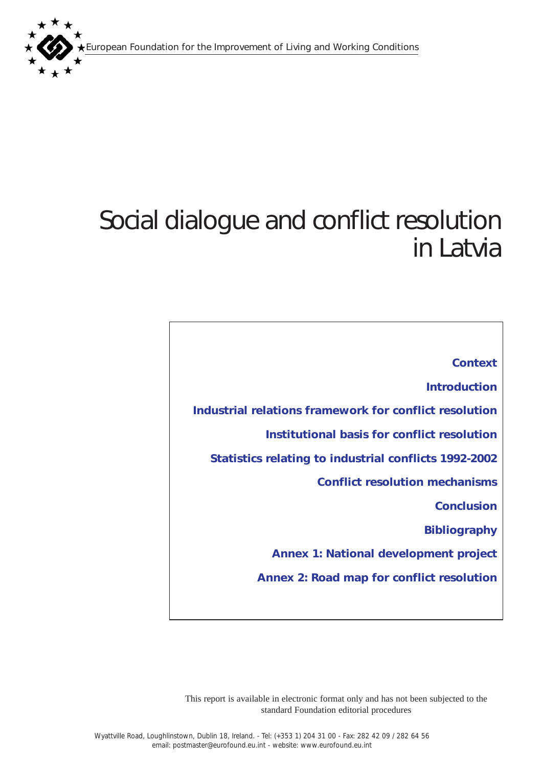European Foundation for the Improvement of Living and Working Conditions



# Social dialogue and conflict resolution in Latvia

*[Context](#page-1-0) [Introduction](#page-1-0) [Industrial relations framework for conflict resolution](#page-1-0) [Institutional basis for conflict resolution](#page-3-0)  [Statistics relating to industrial conflicts 1992-2002](#page-6-0) [Conflict resolution mechanisms](#page-7-0) [Conclusion](#page-9-0) [Bibliography](#page-9-0) [Annex 1: National development project](#page-10-0) [Annex 2: Road map for conflict resolution](#page-11-0)*

This report is available in electronic format only and has not been subjected to the standard Foundation editorial procedures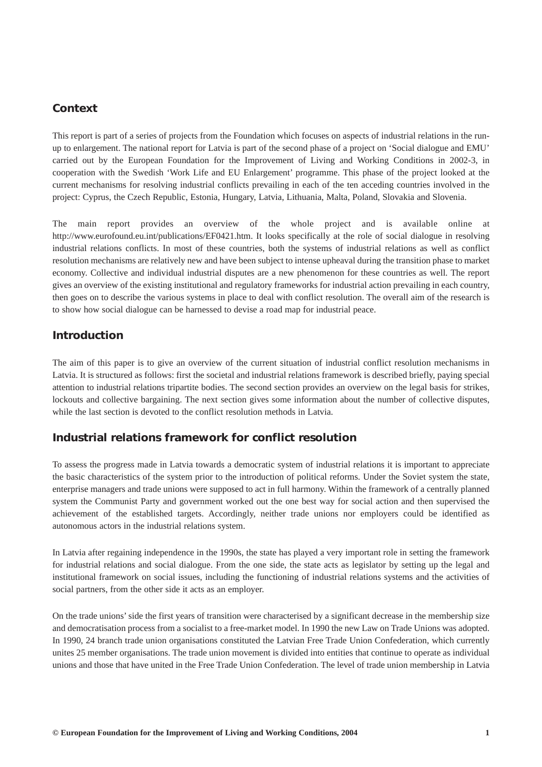# <span id="page-1-0"></span>*Context*

This report is part of a series of projects from the Foundation which focuses on aspects of industrial relations in the runup to enlargement. The national report for Latvia is part of the second phase of a project on 'Social dialogue and EMU' carried out by the European Foundation for the Improvement of Living and Working Conditions in 2002-3, in cooperation with the Swedish 'Work Life and EU Enlargement' programme. This phase of the project looked at the current mechanisms for resolving industrial conflicts prevailing in each of the ten acceding countries involved in the project: Cyprus, the Czech Republic, Estonia, Hungary, Latvia, Lithuania, Malta, Poland, Slovakia and Slovenia.

The main report provides an overview of the whole project and is available online at http://www.eurofound.eu.int/publications/EF0421.htm. It looks specifically at the role of social dialogue in resolving industrial relations conflicts. In most of these countries, both the systems of industrial relations as well as conflict resolution mechanisms are relatively new and have been subject to intense upheaval during the transition phase to market economy. Collective and individual industrial disputes are a new phenomenon for these countries as well. The report gives an overview of the existing institutional and regulatory frameworks for industrial action prevailing in each country, then goes on to describe the various systems in place to deal with conflict resolution. The overall aim of the research is to show how social dialogue can be harnessed to devise a road map for industrial peace.

## *Introduction*

The aim of this paper is to give an overview of the current situation of industrial conflict resolution mechanisms in Latvia. It is structured as follows: first the societal and industrial relations framework is described briefly, paying special attention to industrial relations tripartite bodies. The second section provides an overview on the legal basis for strikes, lockouts and collective bargaining. The next section gives some information about the number of collective disputes, while the last section is devoted to the conflict resolution methods in Latvia.

## *Industrial relations framework for conflict resolution*

To assess the progress made in Latvia towards a democratic system of industrial relations it is important to appreciate the basic characteristics of the system prior to the introduction of political reforms. Under the Soviet system the state, enterprise managers and trade unions were supposed to act in full harmony. Within the framework of a centrally planned system the Communist Party and government worked out the one best way for social action and then supervised the achievement of the established targets. Accordingly, neither trade unions nor employers could be identified as autonomous actors in the industrial relations system.

In Latvia after regaining independence in the 1990s, the state has played a very important role in setting the framework for industrial relations and social dialogue. From the one side, the state acts as legislator by setting up the legal and institutional framework on social issues, including the functioning of industrial relations systems and the activities of social partners, from the other side it acts as an employer.

On the trade unions' side the first years of transition were characterised by a significant decrease in the membership size and democratisation process from a socialist to a free-market model. In 1990 the new Law on Trade Unions was adopted. In 1990, 24 branch trade union organisations constituted the Latvian Free Trade Union Confederation, which currently unites 25 member organisations. The trade union movement is divided into entities that continue to operate as individual unions and those that have united in the Free Trade Union Confederation. The level of trade union membership in Latvia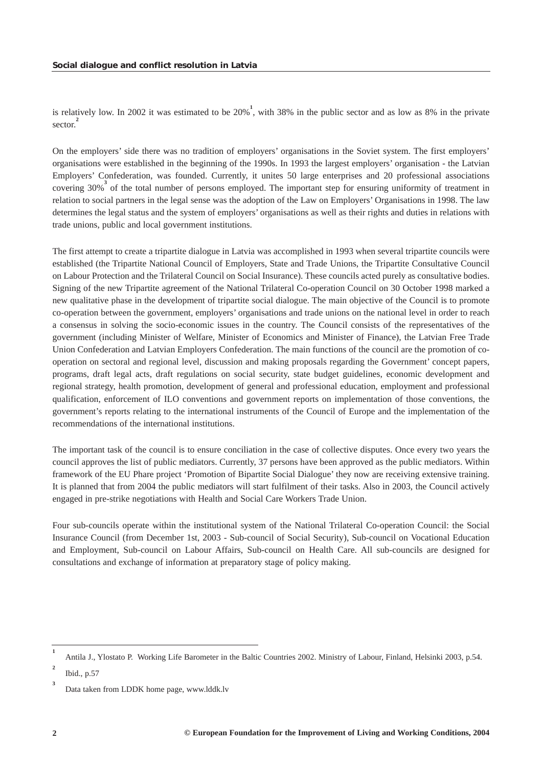is relatively low. In 2002 it was estimated to be 20%**<sup>1</sup>** , with 38% in the public sector and as low as 8% in the private sector.<sup>2</sup>

On the employers' side there was no tradition of employers' organisations in the Soviet system. The first employers' organisations were established in the beginning of the 1990s. In 1993 the largest employers' organisation - the Latvian Employers' Confederation, was founded. Currently, it unites 50 large enterprises and 20 professional associations covering 30%<sup>3</sup> of the total number of persons employed. The important step for ensuring uniformity of treatment in relation to social partners in the legal sense was the adoption of the Law on Employers' Organisations in 1998. The law determines the legal status and the system of employers' organisations as well as their rights and duties in relations with trade unions, public and local government institutions.

The first attempt to create a tripartite dialogue in Latvia was accomplished in 1993 when several tripartite councils were established (the Tripartite National Council of Employers, State and Trade Unions, the Tripartite Consultative Council on Labour Protection and the Trilateral Council on Social Insurance). These councils acted purely as consultative bodies. Signing of the new Tripartite agreement of the National Trilateral Co-operation Council on 30 October 1998 marked a new qualitative phase in the development of tripartite social dialogue. The main objective of the Council is to promote co-operation between the government, employers' organisations and trade unions on the national level in order to reach a consensus in solving the socio-economic issues in the country. The Council consists of the representatives of the government (including Minister of Welfare, Minister of Economics and Minister of Finance), the Latvian Free Trade Union Confederation and Latvian Employers Confederation. The main functions of the council are the promotion of cooperation on sectoral and regional level, discussion and making proposals regarding the Government' concept papers, programs, draft legal acts, draft regulations on social security, state budget guidelines, economic development and regional strategy, health promotion, development of general and professional education, employment and professional qualification, enforcement of ILO conventions and government reports on implementation of those conventions, the government's reports relating to the international instruments of the Council of Europe and the implementation of the recommendations of the international institutions.

The important task of the council is to ensure conciliation in the case of collective disputes. Once every two years the council approves the list of public mediators. Currently, 37 persons have been approved as the public mediators. Within framework of the EU Phare project 'Promotion of Bipartite Social Dialogue' they now are receiving extensive training. It is planned that from 2004 the public mediators will start fulfilment of their tasks. Also in 2003, the Council actively engaged in pre-strike negotiations with Health and Social Care Workers Trade Union.

Four sub-councils operate within the institutional system of the National Trilateral Co-operation Council: the Social Insurance Council (from December 1st, 2003 - Sub-council of Social Security), Sub-council on Vocational Education and Employment, Sub-council on Labour Affairs, Sub-council on Health Care. All sub-councils are designed for consultations and exchange of information at preparatory stage of policy making.

**<sup>1</sup>** Antila J., Ylostato P. Working Life Barometer in the Baltic Countries 2002. Ministry of Labour, Finland, Helsinki 2003, p.54.

**<sup>2</sup>** Ibid., p.57

**<sup>3</sup>** Data taken from LDDK home page, www.lddk.lv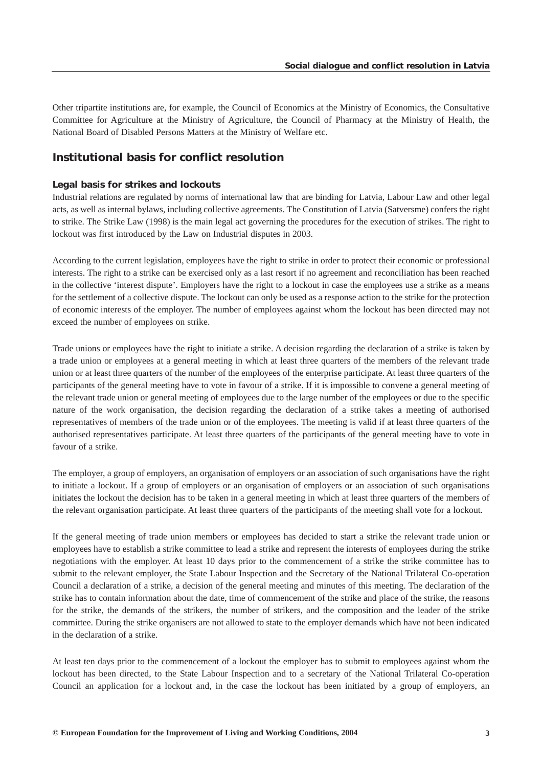<span id="page-3-0"></span>Other tripartite institutions are, for example, the Council of Economics at the Ministry of Economics, the Consultative Committee for Agriculture at the Ministry of Agriculture, the Council of Pharmacy at the Ministry of Health, the National Board of Disabled Persons Matters at the Ministry of Welfare etc.

## *Institutional basis for conflict resolution*

## *Legal basis for strikes and lockouts*

Industrial relations are regulated by norms of international law that are binding for Latvia, Labour Law and other legal acts, as well as internal bylaws, including collective agreements. The Constitution of Latvia (Satversme) confers the right to strike. The Strike Law (1998) is the main legal act governing the procedures for the execution of strikes. The right to lockout was first introduced by the Law on Industrial disputes in 2003.

According to the current legislation, employees have the right to strike in order to protect their economic or professional interests. The right to a strike can be exercised only as a last resort if no agreement and reconciliation has been reached in the collective 'interest dispute'. Employers have the right to a lockout in case the employees use a strike as a means for the settlement of a collective dispute. The lockout can only be used as a response action to the strike for the protection of economic interests of the employer. The number of employees against whom the lockout has been directed may not exceed the number of employees on strike.

Trade unions or employees have the right to initiate a strike. A decision regarding the declaration of a strike is taken by a trade union or employees at a general meeting in which at least three quarters of the members of the relevant trade union or at least three quarters of the number of the employees of the enterprise participate. At least three quarters of the participants of the general meeting have to vote in favour of a strike. If it is impossible to convene a general meeting of the relevant trade union or general meeting of employees due to the large number of the employees or due to the specific nature of the work organisation, the decision regarding the declaration of a strike takes a meeting of authorised representatives of members of the trade union or of the employees. The meeting is valid if at least three quarters of the authorised representatives participate. At least three quarters of the participants of the general meeting have to vote in favour of a strike.

The employer, a group of employers, an organisation of employers or an association of such organisations have the right to initiate a lockout. If a group of employers or an organisation of employers or an association of such organisations initiates the lockout the decision has to be taken in a general meeting in which at least three quarters of the members of the relevant organisation participate. At least three quarters of the participants of the meeting shall vote for a lockout.

If the general meeting of trade union members or employees has decided to start a strike the relevant trade union or employees have to establish a strike committee to lead a strike and represent the interests of employees during the strike negotiations with the employer. At least 10 days prior to the commencement of a strike the strike committee has to submit to the relevant employer, the State Labour Inspection and the Secretary of the National Trilateral Co-operation Council a declaration of a strike, a decision of the general meeting and minutes of this meeting. The declaration of the strike has to contain information about the date, time of commencement of the strike and place of the strike, the reasons for the strike, the demands of the strikers, the number of strikers, and the composition and the leader of the strike committee. During the strike organisers are not allowed to state to the employer demands which have not been indicated in the declaration of a strike.

At least ten days prior to the commencement of a lockout the employer has to submit to employees against whom the lockout has been directed, to the State Labour Inspection and to a secretary of the National Trilateral Co-operation Council an application for a lockout and, in the case the lockout has been initiated by a group of employers, an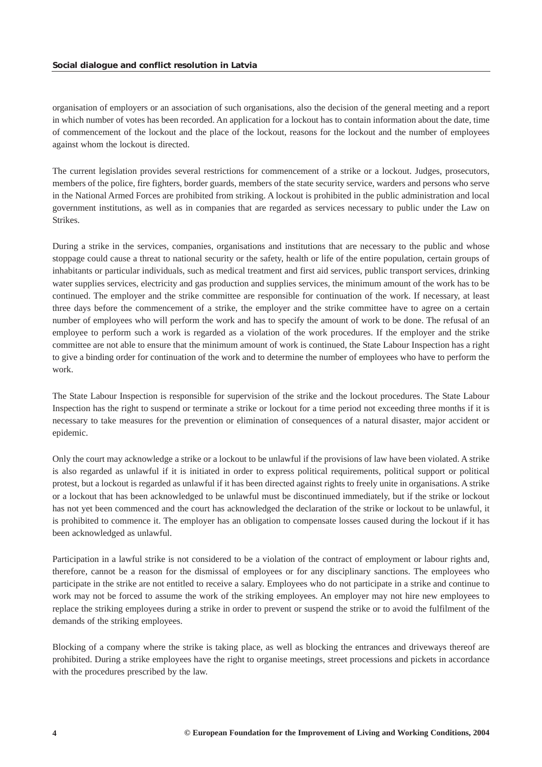organisation of employers or an association of such organisations, also the decision of the general meeting and a report in which number of votes has been recorded. An application for a lockout has to contain information about the date, time of commencement of the lockout and the place of the lockout, reasons for the lockout and the number of employees against whom the lockout is directed.

The current legislation provides several restrictions for commencement of a strike or a lockout. Judges, prosecutors, members of the police, fire fighters, border guards, members of the state security service, warders and persons who serve in the National Armed Forces are prohibited from striking. A lockout is prohibited in the public administration and local government institutions, as well as in companies that are regarded as services necessary to public under the Law on Strikes.

During a strike in the services, companies, organisations and institutions that are necessary to the public and whose stoppage could cause a threat to national security or the safety, health or life of the entire population, certain groups of inhabitants or particular individuals, such as medical treatment and first aid services, public transport services, drinking water supplies services, electricity and gas production and supplies services, the minimum amount of the work has to be continued. The employer and the strike committee are responsible for continuation of the work. If necessary, at least three days before the commencement of a strike, the employer and the strike committee have to agree on a certain number of employees who will perform the work and has to specify the amount of work to be done. The refusal of an employee to perform such a work is regarded as a violation of the work procedures. If the employer and the strike committee are not able to ensure that the minimum amount of work is continued, the State Labour Inspection has a right to give a binding order for continuation of the work and to determine the number of employees who have to perform the work.

The State Labour Inspection is responsible for supervision of the strike and the lockout procedures. The State Labour Inspection has the right to suspend or terminate a strike or lockout for a time period not exceeding three months if it is necessary to take measures for the prevention or elimination of consequences of a natural disaster, major accident or epidemic.

Only the court may acknowledge a strike or a lockout to be unlawful if the provisions of law have been violated. A strike is also regarded as unlawful if it is initiated in order to express political requirements, political support or political protest, but a lockout is regarded as unlawful if it has been directed against rights to freely unite in organisations. A strike or a lockout that has been acknowledged to be unlawful must be discontinued immediately, but if the strike or lockout has not yet been commenced and the court has acknowledged the declaration of the strike or lockout to be unlawful, it is prohibited to commence it. The employer has an obligation to compensate losses caused during the lockout if it has been acknowledged as unlawful.

Participation in a lawful strike is not considered to be a violation of the contract of employment or labour rights and, therefore, cannot be a reason for the dismissal of employees or for any disciplinary sanctions. The employees who participate in the strike are not entitled to receive a salary. Employees who do not participate in a strike and continue to work may not be forced to assume the work of the striking employees. An employer may not hire new employees to replace the striking employees during a strike in order to prevent or suspend the strike or to avoid the fulfilment of the demands of the striking employees.

Blocking of a company where the strike is taking place, as well as blocking the entrances and driveways thereof are prohibited. During a strike employees have the right to organise meetings, street processions and pickets in accordance with the procedures prescribed by the law.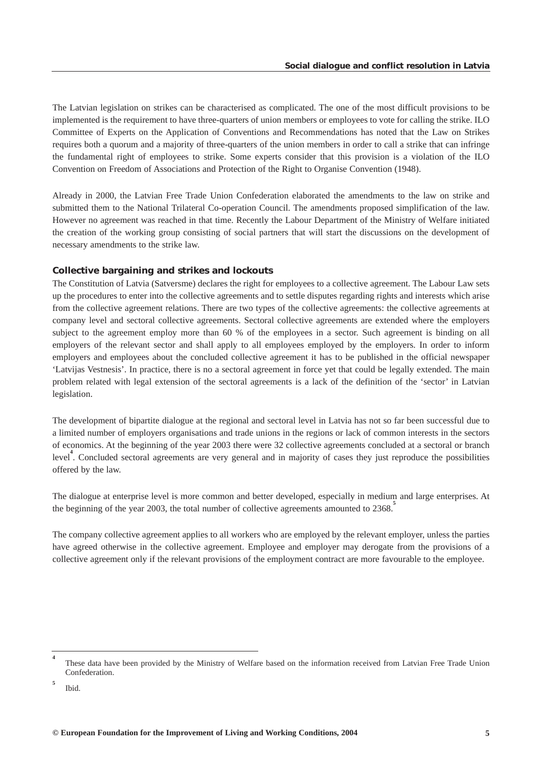The Latvian legislation on strikes can be characterised as complicated. The one of the most difficult provisions to be implemented is the requirement to have three-quarters of union members or employees to vote for calling the strike. ILO Committee of Experts on the Application of Conventions and Recommendations has noted that the Law on Strikes requires both a quorum and a majority of three-quarters of the union members in order to call a strike that can infringe the fundamental right of employees to strike. Some experts consider that this provision is a violation of the ILO Convention on Freedom of Associations and Protection of the Right to Organise Convention (1948).

Already in 2000, the Latvian Free Trade Union Confederation elaborated the amendments to the law on strike and submitted them to the National Trilateral Co-operation Council. The amendments proposed simplification of the law. However no agreement was reached in that time. Recently the Labour Department of the Ministry of Welfare initiated the creation of the working group consisting of social partners that will start the discussions on the development of necessary amendments to the strike law.

## *Collective bargaining and strikes and lockouts*

The Constitution of Latvia (Satversme) declares the right for employees to a collective agreement. The Labour Law sets up the procedures to enter into the collective agreements and to settle disputes regarding rights and interests which arise from the collective agreement relations. There are two types of the collective agreements: the collective agreements at company level and sectoral collective agreements. Sectoral collective agreements are extended where the employers subject to the agreement employ more than 60 % of the employees in a sector. Such agreement is binding on all employers of the relevant sector and shall apply to all employees employed by the employers. In order to inform employers and employees about the concluded collective agreement it has to be published in the official newspaper 'Latvijas Vestnesis'. In practice, there is no a sectoral agreement in force yet that could be legally extended. The main problem related with legal extension of the sectoral agreements is a lack of the definition of the 'sector' in Latvian legislation.

The development of bipartite dialogue at the regional and sectoral level in Latvia has not so far been successful due to a limited number of employers organisations and trade unions in the regions or lack of common interests in the sectors of economics. At the beginning of the year 2003 there were 32 collective agreements concluded at a sectoral or branch level<sup>4</sup>. Concluded sectoral agreements are very general and in majority of cases they just reproduce the possibilities offered by the law.

The dialogue at enterprise level is more common and better developed, especially in medium and large enterprises. At the beginning of the year 2003, the total number of collective agreements amounted to 2368.

The company collective agreement applies to all workers who are employed by the relevant employer, unless the parties have agreed otherwise in the collective agreement. Employee and employer may derogate from the provisions of a collective agreement only if the relevant provisions of the employment contract are more favourable to the employee.

**5**

**<sup>4</sup>** These data have been provided by the Ministry of Welfare based on the information received from Latvian Free Trade Union Confederation.

Ibid.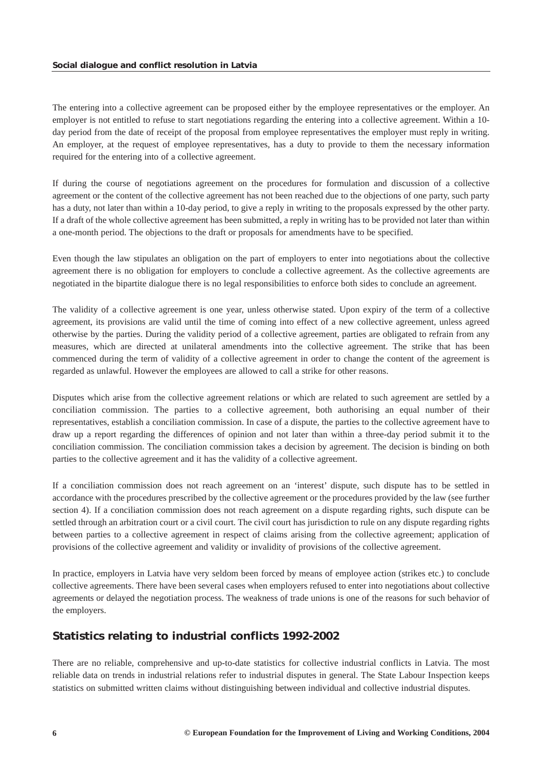<span id="page-6-0"></span>The entering into a collective agreement can be proposed either by the employee representatives or the employer. An employer is not entitled to refuse to start negotiations regarding the entering into a collective agreement. Within a 10 day period from the date of receipt of the proposal from employee representatives the employer must reply in writing. An employer, at the request of employee representatives, has a duty to provide to them the necessary information required for the entering into of a collective agreement.

If during the course of negotiations agreement on the procedures for formulation and discussion of a collective agreement or the content of the collective agreement has not been reached due to the objections of one party, such party has a duty, not later than within a 10-day period, to give a reply in writing to the proposals expressed by the other party. If a draft of the whole collective agreement has been submitted, a reply in writing has to be provided not later than within a one-month period. The objections to the draft or proposals for amendments have to be specified.

Even though the law stipulates an obligation on the part of employers to enter into negotiations about the collective agreement there is no obligation for employers to conclude a collective agreement. As the collective agreements are negotiated in the bipartite dialogue there is no legal responsibilities to enforce both sides to conclude an agreement.

The validity of a collective agreement is one year, unless otherwise stated. Upon expiry of the term of a collective agreement, its provisions are valid until the time of coming into effect of a new collective agreement, unless agreed otherwise by the parties. During the validity period of a collective agreement, parties are obligated to refrain from any measures, which are directed at unilateral amendments into the collective agreement. The strike that has been commenced during the term of validity of a collective agreement in order to change the content of the agreement is regarded as unlawful. However the employees are allowed to call a strike for other reasons.

Disputes which arise from the collective agreement relations or which are related to such agreement are settled by a conciliation commission. The parties to a collective agreement, both authorising an equal number of their representatives, establish a conciliation commission. In case of a dispute, the parties to the collective agreement have to draw up a report regarding the differences of opinion and not later than within a three-day period submit it to the conciliation commission. The conciliation commission takes a decision by agreement. The decision is binding on both parties to the collective agreement and it has the validity of a collective agreement.

If a conciliation commission does not reach agreement on an 'interest' dispute, such dispute has to be settled in accordance with the procedures prescribed by the collective agreement or the procedures provided by the law (see further section 4). If a conciliation commission does not reach agreement on a dispute regarding rights, such dispute can be settled through an arbitration court or a civil court. The civil court has jurisdiction to rule on any dispute regarding rights between parties to a collective agreement in respect of claims arising from the collective agreement; application of provisions of the collective agreement and validity or invalidity of provisions of the collective agreement.

In practice, employers in Latvia have very seldom been forced by means of employee action (strikes etc.) to conclude collective agreements. There have been several cases when employers refused to enter into negotiations about collective agreements or delayed the negotiation process. The weakness of trade unions is one of the reasons for such behavior of the employers.

# *Statistics relating to industrial conflicts 1992-2002*

There are no reliable, comprehensive and up-to-date statistics for collective industrial conflicts in Latvia. The most reliable data on trends in industrial relations refer to industrial disputes in general. The State Labour Inspection keeps statistics on submitted written claims without distinguishing between individual and collective industrial disputes.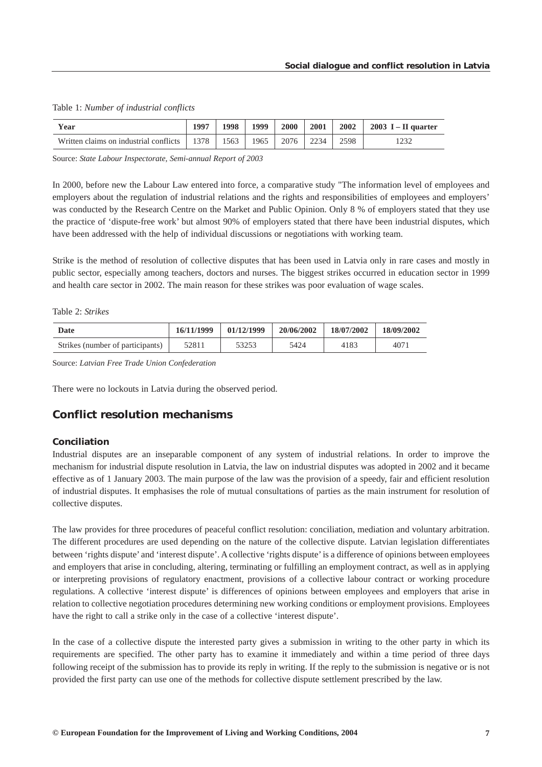<span id="page-7-0"></span>

|  |  |  | Table 1: Number of industrial conflicts |  |  |  |  |
|--|--|--|-----------------------------------------|--|--|--|--|
|--|--|--|-----------------------------------------|--|--|--|--|

| Year                                                     | 1997 | 1998 | 1999 | <b>2000</b>        | 2001 |      | $2002$   2003 I – II quarter |
|----------------------------------------------------------|------|------|------|--------------------|------|------|------------------------------|
| Written claims on industrial conflicts   1378   1563   1 |      |      |      | 1965   2076   2234 |      | 2598 |                              |

Source: *State Labour Inspectorate, Semi-annual Report of 2003*

In 2000, before new the Labour Law entered into force, a comparative study "The information level of employees and employers about the regulation of industrial relations and the rights and responsibilities of employees and employers' was conducted by the Research Centre on the Market and Public Opinion. Only 8 % of employers stated that they use the practice of 'dispute-free work' but almost 90% of employers stated that there have been industrial disputes, which have been addressed with the help of individual discussions or negotiations with working team.

Strike is the method of resolution of collective disputes that has been used in Latvia only in rare cases and mostly in public sector, especially among teachers, doctors and nurses. The biggest strikes occurred in education sector in 1999 and health care sector in 2002. The main reason for these strikes was poor evaluation of wage scales.

#### Table 2: *Strikes*

| Date                             | 16/11/1999 | 01/12/1999 | 20/06/2002 | 18/07/2002 | 18/09/2002 |
|----------------------------------|------------|------------|------------|------------|------------|
| Strikes (number of participants) | 52811      | 53253      | 5424       | 4183       | 407.       |

Source: *Latvian Free Trade Union Confederation*

There were no lockouts in Latvia during the observed period.

## *Conflict resolution mechanisms*

#### *Conciliation*

Industrial disputes are an inseparable component of any system of industrial relations. In order to improve the mechanism for industrial dispute resolution in Latvia, the law on industrial disputes was adopted in 2002 and it became effective as of 1 January 2003. The main purpose of the law was the provision of a speedy, fair and efficient resolution of industrial disputes. It emphasises the role of mutual consultations of parties as the main instrument for resolution of collective disputes.

The law provides for three procedures of peaceful conflict resolution: conciliation, mediation and voluntary arbitration. The different procedures are used depending on the nature of the collective dispute. Latvian legislation differentiates between 'rights dispute' and 'interest dispute'. A collective 'rights dispute' is a difference of opinions between employees and employers that arise in concluding, altering, terminating or fulfilling an employment contract, as well as in applying or interpreting provisions of regulatory enactment, provisions of a collective labour contract or working procedure regulations. A collective 'interest dispute' is differences of opinions between employees and employers that arise in relation to collective negotiation procedures determining new working conditions or employment provisions. Employees have the right to call a strike only in the case of a collective 'interest dispute'.

In the case of a collective dispute the interested party gives a submission in writing to the other party in which its requirements are specified. The other party has to examine it immediately and within a time period of three days following receipt of the submission has to provide its reply in writing. If the reply to the submission is negative or is not provided the first party can use one of the methods for collective dispute settlement prescribed by the law.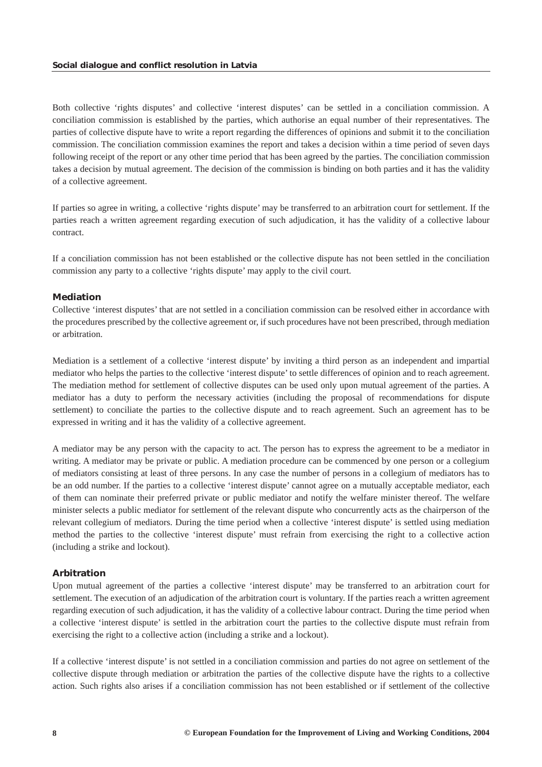Both collective 'rights disputes' and collective 'interest disputes' can be settled in a conciliation commission. A conciliation commission is established by the parties, which authorise an equal number of their representatives. The parties of collective dispute have to write a report regarding the differences of opinions and submit it to the conciliation commission. The conciliation commission examines the report and takes a decision within a time period of seven days following receipt of the report or any other time period that has been agreed by the parties. The conciliation commission takes a decision by mutual agreement. The decision of the commission is binding on both parties and it has the validity of a collective agreement.

If parties so agree in writing, a collective 'rights dispute' may be transferred to an arbitration court for settlement. If the parties reach a written agreement regarding execution of such adjudication, it has the validity of a collective labour contract.

If a conciliation commission has not been established or the collective dispute has not been settled in the conciliation commission any party to a collective 'rights dispute' may apply to the civil court.

#### *Mediation*

Collective 'interest disputes' that are not settled in a conciliation commission can be resolved either in accordance with the procedures prescribed by the collective agreement or, if such procedures have not been prescribed, through mediation or arbitration.

Mediation is a settlement of a collective 'interest dispute' by inviting a third person as an independent and impartial mediator who helps the parties to the collective 'interest dispute' to settle differences of opinion and to reach agreement. The mediation method for settlement of collective disputes can be used only upon mutual agreement of the parties. A mediator has a duty to perform the necessary activities (including the proposal of recommendations for dispute settlement) to conciliate the parties to the collective dispute and to reach agreement. Such an agreement has to be expressed in writing and it has the validity of a collective agreement.

A mediator may be any person with the capacity to act. The person has to express the agreement to be a mediator in writing. A mediator may be private or public. A mediation procedure can be commenced by one person or a collegium of mediators consisting at least of three persons. In any case the number of persons in a collegium of mediators has to be an odd number. If the parties to a collective 'interest dispute' cannot agree on a mutually acceptable mediator, each of them can nominate their preferred private or public mediator and notify the welfare minister thereof. The welfare minister selects a public mediator for settlement of the relevant dispute who concurrently acts as the chairperson of the relevant collegium of mediators. During the time period when a collective 'interest dispute' is settled using mediation method the parties to the collective 'interest dispute' must refrain from exercising the right to a collective action (including a strike and lockout).

#### *Arbitration*

Upon mutual agreement of the parties a collective 'interest dispute' may be transferred to an arbitration court for settlement. The execution of an adjudication of the arbitration court is voluntary. If the parties reach a written agreement regarding execution of such adjudication, it has the validity of a collective labour contract. During the time period when a collective 'interest dispute' is settled in the arbitration court the parties to the collective dispute must refrain from exercising the right to a collective action (including a strike and a lockout).

If a collective 'interest dispute' is not settled in a conciliation commission and parties do not agree on settlement of the collective dispute through mediation or arbitration the parties of the collective dispute have the rights to a collective action. Such rights also arises if a conciliation commission has not been established or if settlement of the collective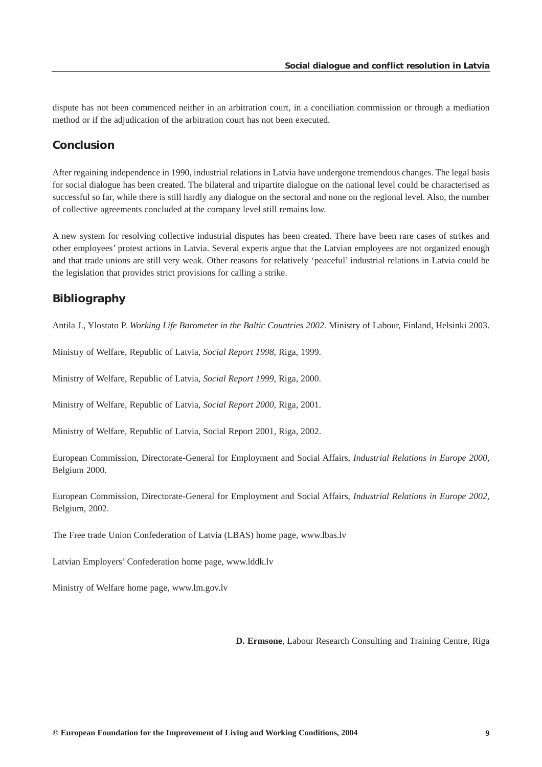<span id="page-9-0"></span>dispute has not been commenced neither in an arbitration court, in a conciliation commission or through a mediation method or if the adjudication of the arbitration court has not been executed.

# *Conclusion*

After regaining independence in 1990, industrial relations in Latvia have undergone tremendous changes. The legal basis for social dialogue has been created. The bilateral and tripartite dialogue on the national level could be characterised as successful so far, while there is still hardly any dialogue on the sectoral and none on the regional level. Also, the number of collective agreements concluded at the company level still remains low.

A new system for resolving collective industrial disputes has been created. There have been rare cases of strikes and other employees' protest actions in Latvia. Several experts argue that the Latvian employees are not organized enough and that trade unions are still very weak. Other reasons for relatively 'peaceful' industrial relations in Latvia could be the legislation that provides strict provisions for calling a strike.

# *Bibliography*

Antila J., Ylostato P. *Working Life Barometer in the Baltic Countries 2002*. Ministry of Labour, Finland, Helsinki 2003.

Ministry of Welfare, Republic of Latvia, *Social Report 1998*, Riga, 1999.

Ministry of Welfare, Republic of Latvia, *Social Report 1999*, Riga, 2000.

Ministry of Welfare, Republic of Latvia, *Social Report 2000*, Riga, 2001.

Ministry of Welfare, Republic of Latvia, Social Report 2001, Riga, 2002.

European Commission, Directorate-General for Employment and Social Affairs, *Industrial Relations in Europe 2000*, Belgium 2000.

European Commission, Directorate-General for Employment and Social Affairs, *Industrial Relations in Europe 2002*, Belgium, 2002.

The Free trade Union Confederation of Latvia (LBAS) home page, www.lbas.lv

Latvian Employers' Confederation home page, www.lddk.lv

Ministry of Welfare home page, www.lm.gov.lv

**D. Ermsone**, Labour Research Consulting and Training Centre, Riga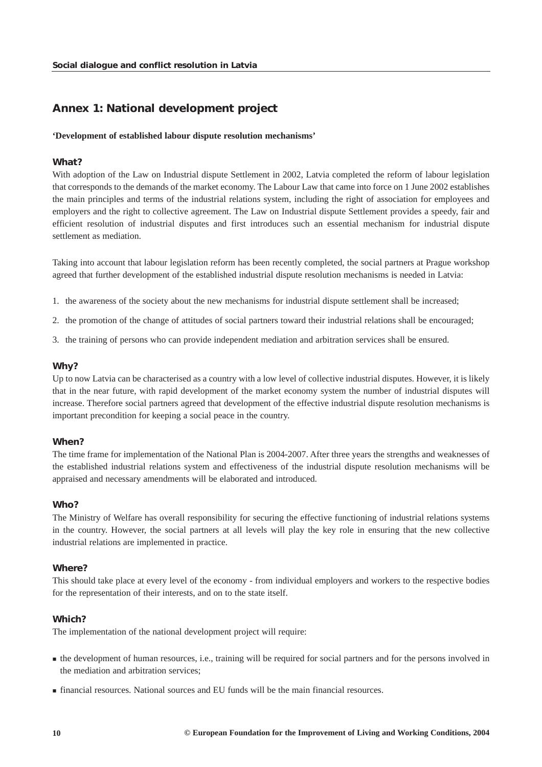# <span id="page-10-0"></span>*Annex 1: National development project*

#### **'Development of established labour dispute resolution mechanisms'**

#### *What?*

With adoption of the Law on Industrial dispute Settlement in 2002, Latvia completed the reform of labour legislation that corresponds to the demands of the market economy. The Labour Law that came into force on 1 June 2002 establishes the main principles and terms of the industrial relations system, including the right of association for employees and employers and the right to collective agreement. The Law on Industrial dispute Settlement provides a speedy, fair and efficient resolution of industrial disputes and first introduces such an essential mechanism for industrial dispute settlement as mediation.

Taking into account that labour legislation reform has been recently completed, the social partners at Prague workshop agreed that further development of the established industrial dispute resolution mechanisms is needed in Latvia:

- 1. the awareness of the society about the new mechanisms for industrial dispute settlement shall be increased;
- 2. the promotion of the change of attitudes of social partners toward their industrial relations shall be encouraged;
- 3. the training of persons who can provide independent mediation and arbitration services shall be ensured.

#### *Why?*

Up to now Latvia can be characterised as a country with a low level of collective industrial disputes. However, it is likely that in the near future, with rapid development of the market economy system the number of industrial disputes will increase. Therefore social partners agreed that development of the effective industrial dispute resolution mechanisms is important precondition for keeping a social peace in the country.

#### *When?*

The time frame for implementation of the National Plan is 2004-2007. After three years the strengths and weaknesses of the established industrial relations system and effectiveness of the industrial dispute resolution mechanisms will be appraised and necessary amendments will be elaborated and introduced.

## *Who?*

The Ministry of Welfare has overall responsibility for securing the effective functioning of industrial relations systems in the country. However, the social partners at all levels will play the key role in ensuring that the new collective industrial relations are implemented in practice.

#### *Where?*

This should take place at every level of the economy - from individual employers and workers to the respective bodies for the representation of their interests, and on to the state itself.

#### *Which?*

The implementation of the national development project will require:

- **the development of human resources, i.e., training will be required for social partners and for the persons involved in** the mediation and arbitration services;
- financial resources. National sources and EU funds will be the main financial resources.